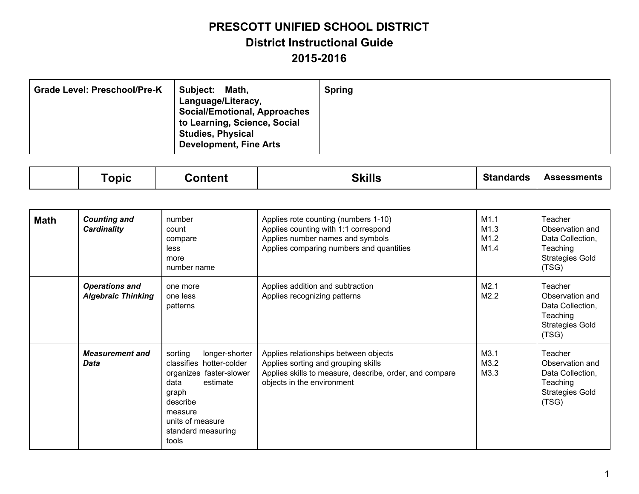| <b>Grade Level: Preschool/Pre-K</b> | Subject:<br>Math,<br>Language/Literacy,<br><b>Social/Emotional, Approaches</b><br>to Learning, Science, Social<br><b>Studies, Physical</b><br><b>Development, Fine Arts</b> | <b>Spring</b> |  |
|-------------------------------------|-----------------------------------------------------------------------------------------------------------------------------------------------------------------------------|---------------|--|
|-------------------------------------|-----------------------------------------------------------------------------------------------------------------------------------------------------------------------------|---------------|--|

|  | onic | ontent<br>. Or | 0.111<br>7 I<br>טווווט | Standards | <b>Assessments</b> |
|--|------|----------------|------------------------|-----------|--------------------|
|--|------|----------------|------------------------|-----------|--------------------|

| <b>Math</b> | <b>Counting and</b><br><b>Cardinality</b>          | number<br>count<br>compare<br>less<br>more<br>number name                                                                                                                               | Applies rote counting (numbers 1-10)<br>Applies counting with 1:1 correspond<br>Applies number names and symbols<br>Applies comparing numbers and quantities          | M1.1<br>M1.3<br>M1.2<br>M1.4 | Teacher<br>Observation and<br>Data Collection,<br>Teaching<br><b>Strategies Gold</b><br>(TSG) |
|-------------|----------------------------------------------------|-----------------------------------------------------------------------------------------------------------------------------------------------------------------------------------------|-----------------------------------------------------------------------------------------------------------------------------------------------------------------------|------------------------------|-----------------------------------------------------------------------------------------------|
|             | <b>Operations and</b><br><b>Algebraic Thinking</b> | one more<br>one less<br>patterns                                                                                                                                                        | Applies addition and subtraction<br>Applies recognizing patterns                                                                                                      | M2.1<br>M2.2                 | Teacher<br>Observation and<br>Data Collection,<br>Teaching<br><b>Strategies Gold</b><br>(TSG) |
|             | <b>Measurement and</b><br>Data                     | sorting<br>longer-shorter<br>classifies hotter-colder<br>organizes faster-slower<br>data<br>estimate<br>graph<br>describe<br>measure<br>units of measure<br>standard measuring<br>tools | Applies relationships between objects<br>Applies sorting and grouping skills<br>Applies skills to measure, describe, order, and compare<br>objects in the environment | M3.1<br>M3.2<br>M3.3         | Teacher<br>Observation and<br>Data Collection,<br>Teaching<br><b>Strategies Gold</b><br>(TSG) |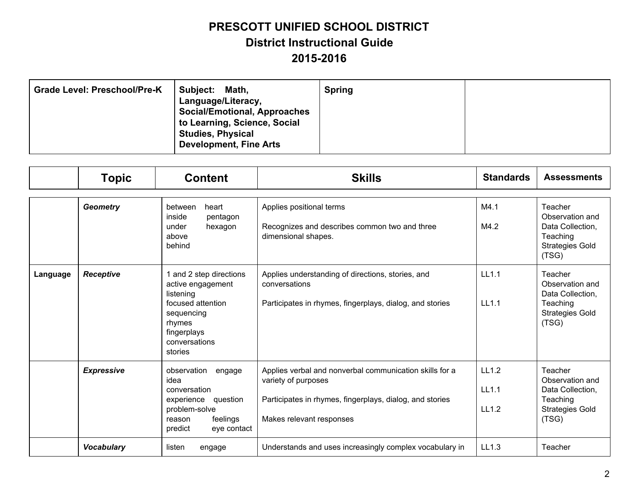| <b>Grade Level: Preschool/Pre-K</b><br><b>Subject:</b> | Math,<br>Language/Literacy,<br><b>Social/Emotional, Approaches</b><br>to Learning, Science, Social<br><b>Studies, Physical</b><br><b>Development, Fine Arts</b> | <b>Spring</b> |  |
|--------------------------------------------------------|-----------------------------------------------------------------------------------------------------------------------------------------------------------------|---------------|--|
|--------------------------------------------------------|-----------------------------------------------------------------------------------------------------------------------------------------------------------------|---------------|--|

|          | <b>Topic</b>      | <b>Content</b>                                                                                                                                    | <b>Skills</b>                                                                                                                                                          | <b>Standards</b>        | <b>Assessments</b>                                                                            |
|----------|-------------------|---------------------------------------------------------------------------------------------------------------------------------------------------|------------------------------------------------------------------------------------------------------------------------------------------------------------------------|-------------------------|-----------------------------------------------------------------------------------------------|
|          | <b>Geometry</b>   | between<br>heart<br>inside<br>pentagon<br>under<br>hexagon<br>above<br>behind                                                                     | Applies positional terms<br>Recognizes and describes common two and three<br>dimensional shapes.                                                                       | M4.1<br>M4.2            | Teacher<br>Observation and<br>Data Collection,<br>Teaching<br><b>Strategies Gold</b><br>(TSG) |
| Language | <b>Receptive</b>  | 1 and 2 step directions<br>active engagement<br>listening<br>focused attention<br>sequencing<br>rhymes<br>fingerplays<br>conversations<br>stories | Applies understanding of directions, stories, and<br>conversations<br>Participates in rhymes, fingerplays, dialog, and stories                                         | LL1.1<br>LL1.1          | Teacher<br>Observation and<br>Data Collection,<br>Teaching<br><b>Strategies Gold</b><br>(TSG) |
|          | <b>Expressive</b> | observation<br>engage<br>idea<br>conversation<br>experience<br>question<br>problem-solve<br>feelings<br>reason<br>predict<br>eye contact          | Applies verbal and nonverbal communication skills for a<br>variety of purposes<br>Participates in rhymes, fingerplays, dialog, and stories<br>Makes relevant responses | LL1.2<br>LL1.1<br>LL1.2 | Teacher<br>Observation and<br>Data Collection,<br>Teaching<br><b>Strategies Gold</b><br>(TSG) |
|          | <b>Vocabulary</b> | listen<br>engage                                                                                                                                  | Understands and uses increasingly complex vocabulary in                                                                                                                | LL1.3                   | Teacher                                                                                       |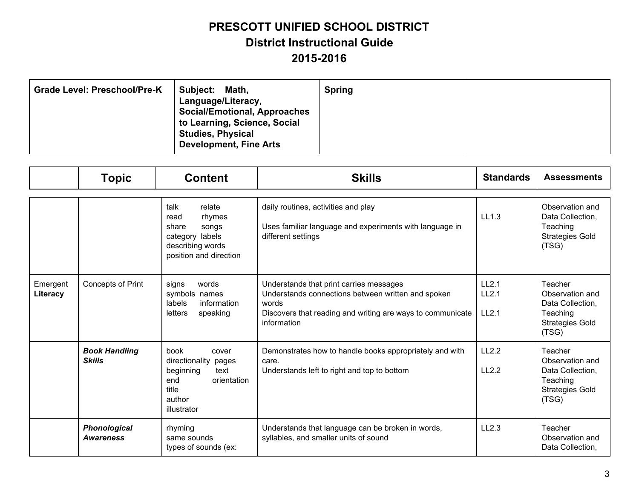| <b>Grade Level: Preschool/Pre-K</b><br>Subject:<br>Math,<br>Language/Literacy,<br><b>Social/Emotional, Approaches</b><br>to Learning, Science, Social<br><b>Studies, Physical</b><br><b>Development, Fine Arts</b> | <b>Spring</b> |  |
|--------------------------------------------------------------------------------------------------------------------------------------------------------------------------------------------------------------------|---------------|--|
|--------------------------------------------------------------------------------------------------------------------------------------------------------------------------------------------------------------------|---------------|--|

|                      | <b>Topic</b>                            | <b>Content</b>                                                                                                            | <b>Skills</b>                                                                                                                                                                       | <b>Standards</b>        | <b>Assessments</b>                                                                            |
|----------------------|-----------------------------------------|---------------------------------------------------------------------------------------------------------------------------|-------------------------------------------------------------------------------------------------------------------------------------------------------------------------------------|-------------------------|-----------------------------------------------------------------------------------------------|
|                      |                                         | talk<br>relate<br>rhymes<br>read<br>share<br>songs<br>category labels<br>describing words<br>position and direction       | daily routines, activities and play<br>Uses familiar language and experiments with language in<br>different settings                                                                | LL1.3                   | Observation and<br>Data Collection,<br>Teaching<br><b>Strategies Gold</b><br>(TSG)            |
| Emergent<br>Literacy | Concepts of Print                       | words<br>signs<br>symbols names<br>labels<br>information<br>letters<br>speaking                                           | Understands that print carries messages<br>Understands connections between written and spoken<br>words<br>Discovers that reading and writing are ways to communicate<br>information | LL2.1<br>LL2.1<br>LL2.1 | Teacher<br>Observation and<br>Data Collection,<br>Teaching<br><b>Strategies Gold</b><br>(TSG) |
|                      | <b>Book Handling</b><br><b>Skills</b>   | <b>book</b><br>cover<br>directionality pages<br>beginning<br>text<br>orientation<br>end<br>title<br>author<br>illustrator | Demonstrates how to handle books appropriately and with<br>care.<br>Understands left to right and top to bottom                                                                     | LL2.2<br>LL2.2          | Teacher<br>Observation and<br>Data Collection,<br>Teaching<br><b>Strategies Gold</b><br>(TSG) |
|                      | <b>Phonological</b><br><b>Awareness</b> | rhyming<br>same sounds<br>types of sounds (ex:                                                                            | Understands that language can be broken in words,<br>syllables, and smaller units of sound                                                                                          | LL2.3                   | Teacher<br>Observation and<br>Data Collection,                                                |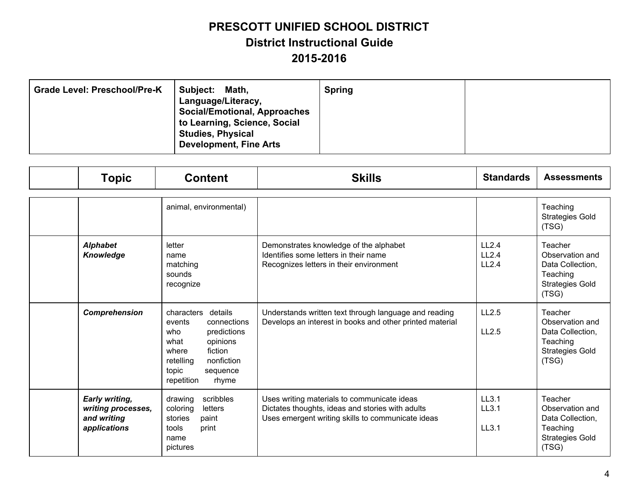| <b>Grade Level: Preschool/Pre-K</b> | Subject:<br>Math,<br>Language/Literacy,<br><b>Social/Emotional, Approaches</b><br>to Learning, Science, Social<br><b>Studies, Physical</b><br><b>Development, Fine Arts</b> | <b>Spring</b> |  |
|-------------------------------------|-----------------------------------------------------------------------------------------------------------------------------------------------------------------------------|---------------|--|
|-------------------------------------|-----------------------------------------------------------------------------------------------------------------------------------------------------------------------------|---------------|--|

| <b>Topic</b>                                                        | <b>Content</b>                                                                                                                                                                   | <b>Skills</b>                                                                                                                                        | <b>Standards</b>        | <b>Assessments</b>                                                                            |
|---------------------------------------------------------------------|----------------------------------------------------------------------------------------------------------------------------------------------------------------------------------|------------------------------------------------------------------------------------------------------------------------------------------------------|-------------------------|-----------------------------------------------------------------------------------------------|
|                                                                     | animal, environmental)                                                                                                                                                           |                                                                                                                                                      |                         | Teaching<br><b>Strategies Gold</b><br>(TSG)                                                   |
| <b>Alphabet</b><br>Knowledge                                        | letter<br>name<br>matching<br>sounds<br>recognize                                                                                                                                | Demonstrates knowledge of the alphabet<br>Identifies some letters in their name<br>Recognizes letters in their environment                           | LL2.4<br>LL2.4<br>LL2.4 | Teacher<br>Observation and<br>Data Collection,<br>Teaching<br><b>Strategies Gold</b><br>(TSG) |
| Comprehension                                                       | characters details<br>events<br>connections<br>who<br>predictions<br>what<br>opinions<br>fiction<br>where<br>retelling<br>nonfiction<br>topic<br>sequence<br>repetition<br>rhyme | Understands written text through language and reading<br>Develops an interest in books and other printed material                                    | LL2.5<br>LL2.5          | Teacher<br>Observation and<br>Data Collection,<br>Teaching<br><b>Strategies Gold</b><br>(TSG) |
| Early writing,<br>writing processes,<br>and writing<br>applications | drawing<br>scribbles<br>letters<br>coloring<br>stories<br>paint<br>tools<br>print<br>name<br>pictures                                                                            | Uses writing materials to communicate ideas<br>Dictates thoughts, ideas and stories with adults<br>Uses emergent writing skills to communicate ideas | LL3.1<br>LL3.1<br>LL3.1 | Teacher<br>Observation and<br>Data Collection,<br>Teaching<br><b>Strategies Gold</b><br>(TSG) |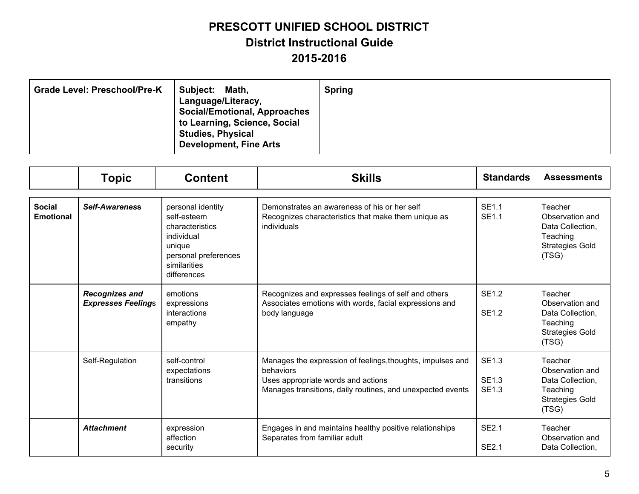| <b>Grade Level: Preschool/Pre-K</b> | Subject:<br>Math,<br>Language/Literacy,<br><b>Social/Emotional, Approaches</b><br>to Learning, Science, Social<br><b>Studies, Physical</b><br><b>Development, Fine Arts</b> | <b>Spring</b> |  |
|-------------------------------------|-----------------------------------------------------------------------------------------------------------------------------------------------------------------------------|---------------|--|
|-------------------------------------|-----------------------------------------------------------------------------------------------------------------------------------------------------------------------------|---------------|--|

|                                   | <b>Topic</b>                                       | <b>Content</b>                                                                                                                     | <b>Skills</b>                                                                                                                                                               | <b>Standards</b>                             | <b>Assessments</b>                                                                            |
|-----------------------------------|----------------------------------------------------|------------------------------------------------------------------------------------------------------------------------------------|-----------------------------------------------------------------------------------------------------------------------------------------------------------------------------|----------------------------------------------|-----------------------------------------------------------------------------------------------|
| <b>Social</b><br><b>Emotional</b> | <b>Self-Awareness</b>                              | personal identity<br>self-esteem<br>characteristics<br>individual<br>unique<br>personal preferences<br>similarities<br>differences | Demonstrates an awareness of his or her self<br>Recognizes characteristics that make them unique as<br>individuals                                                          | <b>SE1.1</b><br>SE1.1                        | Teacher<br>Observation and<br>Data Collection,<br>Teaching<br><b>Strategies Gold</b><br>(TSG) |
|                                   | <b>Recognizes and</b><br><b>Expresses Feelings</b> | emotions<br>expressions<br>interactions<br>empathy                                                                                 | Recognizes and expresses feelings of self and others<br>Associates emotions with words, facial expressions and<br>body language                                             | <b>SE1.2</b><br><b>SE1.2</b>                 | Teacher<br>Observation and<br>Data Collection,<br>Teaching<br><b>Strategies Gold</b><br>(TSG) |
|                                   | Self-Regulation                                    | self-control<br>expectations<br>transitions                                                                                        | Manages the expression of feelings, thoughts, impulses and<br>behaviors<br>Uses appropriate words and actions<br>Manages transitions, daily routines, and unexpected events | <b>SE1.3</b><br><b>SE1.3</b><br><b>SE1.3</b> | Teacher<br>Observation and<br>Data Collection,<br>Teaching<br><b>Strategies Gold</b><br>(TSG) |
|                                   | <b>Attachment</b>                                  | expression<br>affection<br>security                                                                                                | Engages in and maintains healthy positive relationships<br>Separates from familiar adult                                                                                    | <b>SE2.1</b><br><b>SE2.1</b>                 | Teacher<br>Observation and<br>Data Collection,                                                |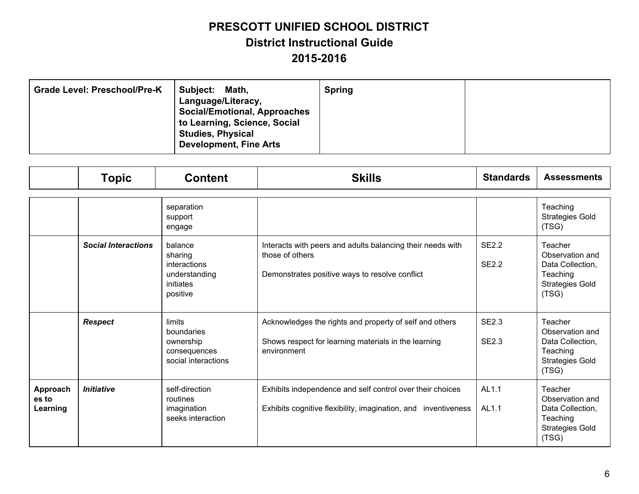| <b>Grade Level: Preschool/Pre-K</b><br>Subject:<br>Math,<br>Language/Literacy,<br><b>Social/Emotional, Approaches</b><br>to Learning, Science, Social<br><b>Studies, Physical</b><br><b>Development, Fine Arts</b> | <b>Spring</b> |  |
|--------------------------------------------------------------------------------------------------------------------------------------------------------------------------------------------------------------------|---------------|--|
|--------------------------------------------------------------------------------------------------------------------------------------------------------------------------------------------------------------------|---------------|--|

|                               | <b>Topic</b>               | <b>Content</b>                                                               | <b>Skills</b>                                                                                                                   | <b>Standards</b>             | <b>Assessments</b>                                                                            |
|-------------------------------|----------------------------|------------------------------------------------------------------------------|---------------------------------------------------------------------------------------------------------------------------------|------------------------------|-----------------------------------------------------------------------------------------------|
|                               |                            | separation<br>support<br>engage                                              |                                                                                                                                 |                              | Teaching<br><b>Strategies Gold</b><br>(TSG)                                                   |
|                               | <b>Social Interactions</b> | balance<br>sharing<br>interactions<br>understanding<br>initiates<br>positive | Interacts with peers and adults balancing their needs with<br>those of others<br>Demonstrates positive ways to resolve conflict | SE2.2<br><b>SE2.2</b>        | Teacher<br>Observation and<br>Data Collection,<br>Teaching<br><b>Strategies Gold</b><br>(TSG) |
|                               | <b>Respect</b>             | limits<br>boundaries<br>ownership<br>consequences<br>social interactions     | Acknowledges the rights and property of self and others<br>Shows respect for learning materials in the learning<br>environment  | <b>SE2.3</b><br><b>SE2.3</b> | Teacher<br>Observation and<br>Data Collection,<br>Teaching<br><b>Strategies Gold</b><br>(TSG) |
| Approach<br>es to<br>Learning | <b>Initiative</b>          | self-direction<br>routines<br>imagination<br>seeks interaction               | Exhibits independence and self control over their choices<br>Exhibits cognitive flexibility, imagination, and inventiveness     | AL <sub>1.1</sub><br>AL1.1   | Teacher<br>Observation and<br>Data Collection,<br>Teaching<br><b>Strategies Gold</b><br>(TSG) |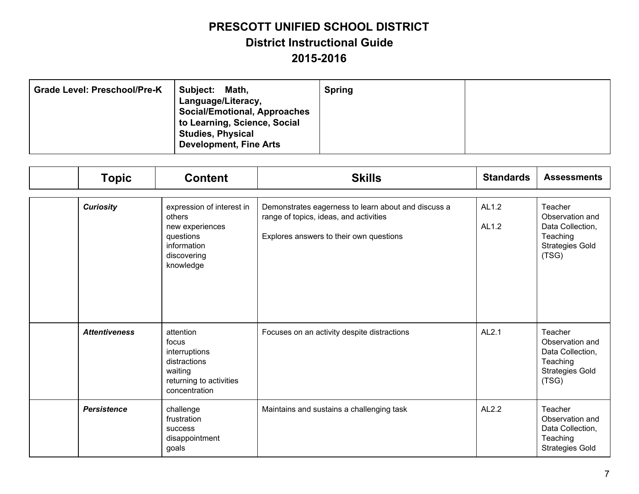| <b>Grade Level: Preschool/Pre-K</b> | Subject:<br>Math,<br>Language/Literacy,<br><b>Social/Emotional, Approaches</b><br>to Learning, Science, Social<br><b>Studies, Physical</b><br><b>Development, Fine Arts</b> | <b>Spring</b> |  |
|-------------------------------------|-----------------------------------------------------------------------------------------------------------------------------------------------------------------------------|---------------|--|
|-------------------------------------|-----------------------------------------------------------------------------------------------------------------------------------------------------------------------------|---------------|--|

| <b>Topic</b>         | <b>Content</b>                                                                                                 | <b>Skills</b>                                                                                                                            | <b>Standards</b> | <b>Assessments</b>                                                                            |
|----------------------|----------------------------------------------------------------------------------------------------------------|------------------------------------------------------------------------------------------------------------------------------------------|------------------|-----------------------------------------------------------------------------------------------|
| <b>Curiosity</b>     | expression of interest in<br>others<br>new experiences<br>questions<br>information<br>discovering<br>knowledge | Demonstrates eagerness to learn about and discuss a<br>range of topics, ideas, and activities<br>Explores answers to their own questions | AL1.2<br>AL1.2   | Teacher<br>Observation and<br>Data Collection,<br>Teaching<br><b>Strategies Gold</b><br>(TSG) |
| <b>Attentiveness</b> | attention<br>focus<br>interruptions<br>distractions<br>waiting<br>returning to activities<br>concentration     | Focuses on an activity despite distractions                                                                                              | AL2.1            | Teacher<br>Observation and<br>Data Collection,<br>Teaching<br><b>Strategies Gold</b><br>(TSG) |
| <b>Persistence</b>   | challenge<br>frustration<br>success<br>disappointment<br>goals                                                 | Maintains and sustains a challenging task                                                                                                | AL2.2            | Teacher<br>Observation and<br>Data Collection,<br>Teaching<br><b>Strategies Gold</b>          |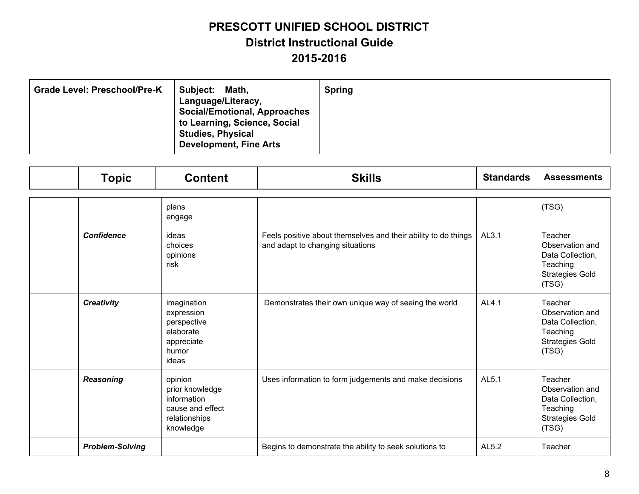| Subject:<br><b>Grade Level: Preschool/Pre-K</b><br>Math,<br>Language/Literacy,<br><b>Social/Emotional, Approaches</b><br>to Learning, Science, Social<br><b>Studies, Physical</b><br><b>Development, Fine Arts</b> | <b>Spring</b> |  |
|--------------------------------------------------------------------------------------------------------------------------------------------------------------------------------------------------------------------|---------------|--|
|--------------------------------------------------------------------------------------------------------------------------------------------------------------------------------------------------------------------|---------------|--|

| <b>Topic</b>           | <b>Content</b>                                                                              | <b>Skills</b>                                                                                      | <b>Standards</b> | <b>Assessments</b>                                                                            |
|------------------------|---------------------------------------------------------------------------------------------|----------------------------------------------------------------------------------------------------|------------------|-----------------------------------------------------------------------------------------------|
|                        | plans<br>engage                                                                             |                                                                                                    |                  | (TSG)                                                                                         |
| <b>Confidence</b>      | ideas<br>choices<br>opinions<br>risk                                                        | Feels positive about themselves and their ability to do things<br>and adapt to changing situations | AL3.1            | Teacher<br>Observation and<br>Data Collection,<br>Teaching<br><b>Strategies Gold</b><br>(TSG) |
| <b>Creativity</b>      | imagination<br>expression<br>perspective<br>elaborate<br>appreciate<br>humor<br>ideas       | Demonstrates their own unique way of seeing the world                                              | AL4.1            | Teacher<br>Observation and<br>Data Collection,<br>Teaching<br><b>Strategies Gold</b><br>(TSG) |
| <b>Reasoning</b>       | opinion<br>prior knowledge<br>information<br>cause and effect<br>relationships<br>knowledge | Uses information to form judgements and make decisions                                             | AL5.1            | Teacher<br>Observation and<br>Data Collection,<br>Teaching<br><b>Strategies Gold</b><br>(TSG) |
| <b>Problem-Solving</b> |                                                                                             | Begins to demonstrate the ability to seek solutions to                                             | AL5.2            | Teacher                                                                                       |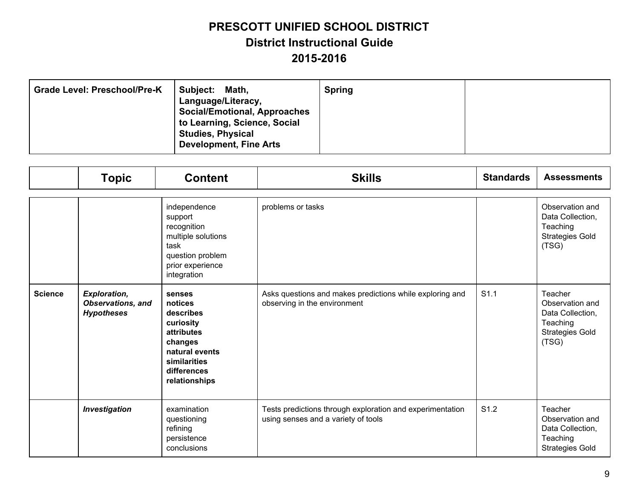| <b>Grade Level: Preschool/Pre-K</b> | Subject:<br>Math,<br>Language/Literacy,<br><b>Social/Emotional, Approaches</b><br>to Learning, Science, Social<br><b>Studies, Physical</b><br><b>Development, Fine Arts</b> | <b>Spring</b> |  |
|-------------------------------------|-----------------------------------------------------------------------------------------------------------------------------------------------------------------------------|---------------|--|
|-------------------------------------|-----------------------------------------------------------------------------------------------------------------------------------------------------------------------------|---------------|--|

|                | <b>Topic</b>                                                         | <b>Content</b>                                                                                                                                | <b>Skills</b>                                                                                    | <b>Standards</b> | <b>Assessments</b>                                                                            |
|----------------|----------------------------------------------------------------------|-----------------------------------------------------------------------------------------------------------------------------------------------|--------------------------------------------------------------------------------------------------|------------------|-----------------------------------------------------------------------------------------------|
|                |                                                                      | independence<br>support<br>recognition<br>multiple solutions<br>task<br>question problem<br>prior experience<br>integration                   | problems or tasks                                                                                |                  | Observation and<br>Data Collection,<br>Teaching<br><b>Strategies Gold</b><br>(TSG)            |
| <b>Science</b> | <b>Exploration,</b><br><b>Observations, and</b><br><b>Hypotheses</b> | senses<br>notices<br>describes<br>curiosity<br><b>attributes</b><br>changes<br>natural events<br>similarities<br>differences<br>relationships | Asks questions and makes predictions while exploring and<br>observing in the environment         | S <sub>1.1</sub> | Teacher<br>Observation and<br>Data Collection,<br>Teaching<br><b>Strategies Gold</b><br>(TSG) |
|                | <b>Investigation</b>                                                 | examination<br>questioning<br>refining<br>persistence<br>conclusions                                                                          | Tests predictions through exploration and experimentation<br>using senses and a variety of tools | S <sub>1.2</sub> | Teacher<br>Observation and<br>Data Collection,<br>Teaching<br><b>Strategies Gold</b>          |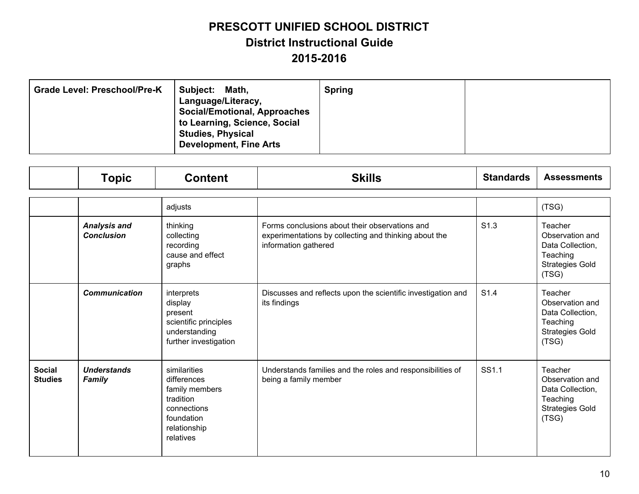| <b>Grade Level: Preschool/Pre-K</b> | Subject:<br>Math,<br>Language/Literacy,<br><b>Social/Emotional, Approaches</b><br>to Learning, Science, Social<br><b>Studies, Physical</b><br><b>Development, Fine Arts</b> | <b>Spring</b> |  |
|-------------------------------------|-----------------------------------------------------------------------------------------------------------------------------------------------------------------------------|---------------|--|
|-------------------------------------|-----------------------------------------------------------------------------------------------------------------------------------------------------------------------------|---------------|--|

|                                 | <b>Topic</b>                             | <b>Content</b>                                                                                                       | <b>Skills</b>                                                                                                                   | <b>Standards</b> | <b>Assessments</b>                                                                            |
|---------------------------------|------------------------------------------|----------------------------------------------------------------------------------------------------------------------|---------------------------------------------------------------------------------------------------------------------------------|------------------|-----------------------------------------------------------------------------------------------|
|                                 |                                          | adjusts                                                                                                              |                                                                                                                                 |                  | (TSG)                                                                                         |
|                                 | <b>Analysis and</b><br><b>Conclusion</b> | thinking<br>collecting<br>recording<br>cause and effect<br>graphs                                                    | Forms conclusions about their observations and<br>experimentations by collecting and thinking about the<br>information gathered | S <sub>1.3</sub> | Teacher<br>Observation and<br>Data Collection,<br>Teaching<br><b>Strategies Gold</b><br>(TSG) |
|                                 | <b>Communication</b>                     | interprets<br>display<br>present<br>scientific principles<br>understanding<br>further investigation                  | Discusses and reflects upon the scientific investigation and<br>its findings                                                    | S <sub>1.4</sub> | Teacher<br>Observation and<br>Data Collection,<br>Teaching<br><b>Strategies Gold</b><br>(TSG) |
| <b>Social</b><br><b>Studies</b> | <b>Understands</b><br><b>Family</b>      | similarities<br>differences<br>family members<br>tradition<br>connections<br>foundation<br>relationship<br>relatives | Understands families and the roles and responsibilities of<br>being a family member                                             | SS1.1            | Teacher<br>Observation and<br>Data Collection,<br>Teaching<br><b>Strategies Gold</b><br>(TSG) |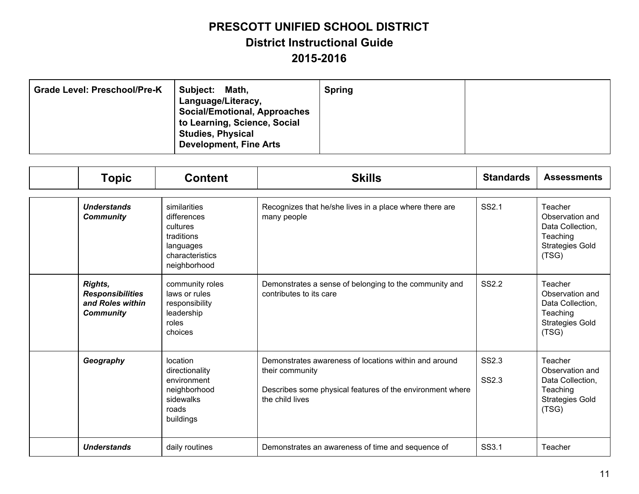| <b>Grade Level: Preschool/Pre-K</b> | Subject:<br>Math,<br>Language/Literacy,<br><b>Social/Emotional, Approaches</b><br>to Learning, Science, Social<br><b>Studies, Physical</b><br><b>Development, Fine Arts</b> | <b>Spring</b> |  |
|-------------------------------------|-----------------------------------------------------------------------------------------------------------------------------------------------------------------------------|---------------|--|
|-------------------------------------|-----------------------------------------------------------------------------------------------------------------------------------------------------------------------------|---------------|--|

| <b>Topic</b>                                                               | <b>Content</b>                                                                                        | <b>Skills</b>                                                                                                                                            | <b>Standards</b> | <b>Assessments</b>                                                                            |
|----------------------------------------------------------------------------|-------------------------------------------------------------------------------------------------------|----------------------------------------------------------------------------------------------------------------------------------------------------------|------------------|-----------------------------------------------------------------------------------------------|
| <b>Understands</b><br><b>Community</b>                                     | similarities<br>differences<br>cultures<br>traditions<br>languages<br>characteristics<br>neighborhood | Recognizes that he/she lives in a place where there are<br>many people                                                                                   | SS2.1            | Teacher<br>Observation and<br>Data Collection,<br>Teaching<br><b>Strategies Gold</b><br>(TSG) |
| Rights,<br><b>Responsibilities</b><br>and Roles within<br><b>Community</b> | community roles<br>laws or rules<br>responsibility<br>leadership<br>roles<br>choices                  | Demonstrates a sense of belonging to the community and<br>contributes to its care                                                                        | <b>SS2.2</b>     | Teacher<br>Observation and<br>Data Collection,<br>Teaching<br><b>Strategies Gold</b><br>(TSG) |
| Geography                                                                  | location<br>directionality<br>environment<br>neighborhood<br>sidewalks<br>roads<br>buildings          | Demonstrates awareness of locations within and around<br>their community<br>Describes some physical features of the environment where<br>the child lives | SS2.3<br>SS2.3   | Teacher<br>Observation and<br>Data Collection,<br>Teaching<br><b>Strategies Gold</b><br>(TSG) |
| <b>Understands</b>                                                         | daily routines                                                                                        | Demonstrates an awareness of time and sequence of                                                                                                        | SS3.1            | Teacher                                                                                       |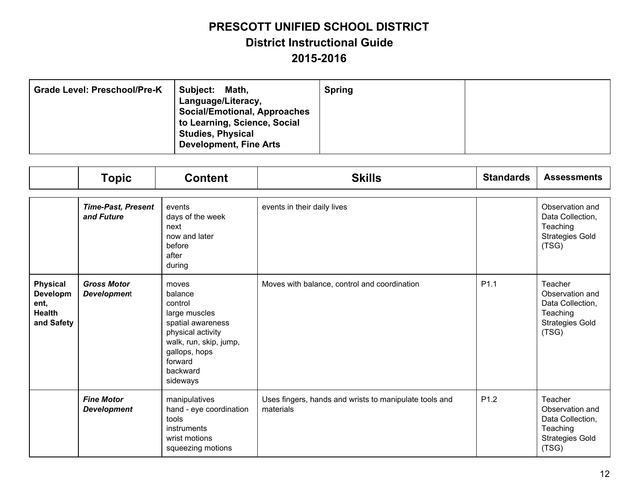| <b>Grade Level: Preschool/Pre-K</b> | Subject:<br>Math,<br>Language/Literacy,<br><b>Social/Emotional, Approaches</b><br>to Learning, Science, Social<br><b>Studies, Physical</b><br><b>Development, Fine Arts</b> | <b>Spring</b> |  |
|-------------------------------------|-----------------------------------------------------------------------------------------------------------------------------------------------------------------------------|---------------|--|
|-------------------------------------|-----------------------------------------------------------------------------------------------------------------------------------------------------------------------------|---------------|--|

|                                                                    | <b>Topic</b>                             | <b>Content</b>                                                                                                                                                       | <b>Skills</b>                                                       | <b>Standards</b> | <b>Assessments</b>                                                                            |
|--------------------------------------------------------------------|------------------------------------------|----------------------------------------------------------------------------------------------------------------------------------------------------------------------|---------------------------------------------------------------------|------------------|-----------------------------------------------------------------------------------------------|
|                                                                    | <b>Time-Past, Present</b><br>and Future  | events<br>days of the week<br>next<br>now and later<br>before<br>after<br>during                                                                                     | events in their daily lives                                         |                  | Observation and<br>Data Collection,<br>Teaching<br><b>Strategies Gold</b><br>(TSG)            |
| <b>Physical</b><br>Developm<br>ent,<br><b>Health</b><br>and Safety | <b>Gross Motor</b><br><b>Development</b> | moves<br>balance<br>control<br>large muscles<br>spatial awareness<br>physical activity<br>walk, run, skip, jump,<br>gallops, hops<br>forward<br>backward<br>sideways | Moves with balance, control and coordination                        | P <sub>1.1</sub> | Teacher<br>Observation and<br>Data Collection,<br>Teaching<br><b>Strategies Gold</b><br>(TSG) |
|                                                                    | <b>Fine Motor</b><br><b>Development</b>  | manipulatives<br>hand - eye coordination<br>tools<br>instruments<br>wrist motions<br>squeezing motions                                                               | Uses fingers, hands and wrists to manipulate tools and<br>materials | P <sub>1.2</sub> | Teacher<br>Observation and<br>Data Collection,<br>Teaching<br><b>Strategies Gold</b><br>(TSG) |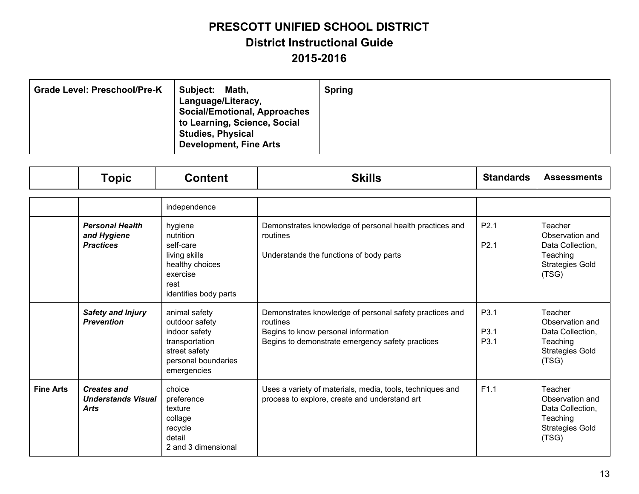| <b>Grade Level: Preschool/Pre-K</b><br>Subject: | Math,<br>Language/Literacy,<br><b>Social/Emotional, Approaches</b><br>to Learning, Science, Social<br><b>Studies, Physical</b><br><b>Development, Fine Arts</b> | <b>Spring</b> |  |
|-------------------------------------------------|-----------------------------------------------------------------------------------------------------------------------------------------------------------------|---------------|--|
|-------------------------------------------------|-----------------------------------------------------------------------------------------------------------------------------------------------------------------|---------------|--|

|                  | <b>Topic</b>                                                   | <b>Content</b>                                                                                                            | <b>Skills</b>                                                                                                                                                  | <b>Standards</b>                             | <b>Assessments</b>                                                                            |
|------------------|----------------------------------------------------------------|---------------------------------------------------------------------------------------------------------------------------|----------------------------------------------------------------------------------------------------------------------------------------------------------------|----------------------------------------------|-----------------------------------------------------------------------------------------------|
|                  |                                                                | independence                                                                                                              |                                                                                                                                                                |                                              |                                                                                               |
|                  | <b>Personal Health</b><br>and Hygiene<br><b>Practices</b>      | hygiene<br>nutrition<br>self-care<br>living skills<br>healthy choices<br>exercise<br>rest<br>identifies body parts        | Demonstrates knowledge of personal health practices and<br>routines<br>Understands the functions of body parts                                                 | P <sub>2.1</sub><br>P <sub>2.1</sub>         | Teacher<br>Observation and<br>Data Collection,<br>Teaching<br><b>Strategies Gold</b><br>(TSG) |
|                  | <b>Safety and Injury</b><br><b>Prevention</b>                  | animal safety<br>outdoor safety<br>indoor safety<br>transportation<br>street safety<br>personal boundaries<br>emergencies | Demonstrates knowledge of personal safety practices and<br>routines<br>Begins to know personal information<br>Begins to demonstrate emergency safety practices | P <sub>3.1</sub><br>P3.1<br>P <sub>3.1</sub> | Teacher<br>Observation and<br>Data Collection,<br>Teaching<br><b>Strategies Gold</b><br>(TSG) |
| <b>Fine Arts</b> | <b>Creates and</b><br><b>Understands Visual</b><br><b>Arts</b> | choice<br>preference<br>texture<br>collage<br>recycle<br>detail<br>2 and 3 dimensional                                    | Uses a variety of materials, media, tools, techniques and<br>process to explore, create and understand art                                                     | F1.1                                         | Teacher<br>Observation and<br>Data Collection,<br>Teaching<br><b>Strategies Gold</b><br>(TSG) |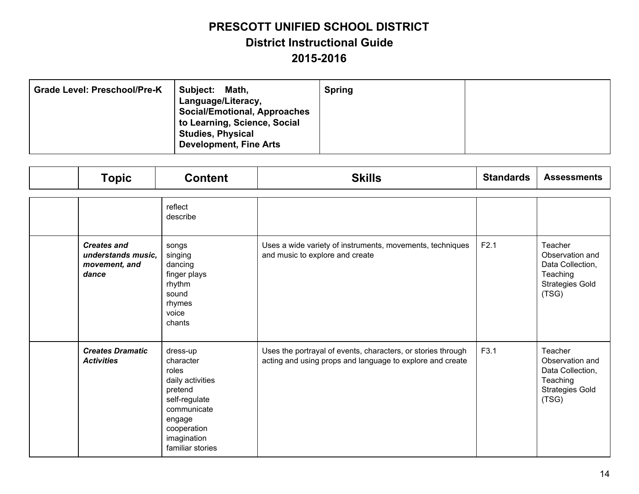| <b>Grade Level: Preschool/Pre-K</b><br>Subject:<br>Math,<br>Language/Literacy,<br><b>Social/Emotional, Approaches</b><br>to Learning, Science, Social<br><b>Studies, Physical</b><br><b>Development, Fine Arts</b> | <b>Spring</b> |  |
|--------------------------------------------------------------------------------------------------------------------------------------------------------------------------------------------------------------------|---------------|--|
|--------------------------------------------------------------------------------------------------------------------------------------------------------------------------------------------------------------------|---------------|--|

| <b>Topic</b>                                                       | <b>Content</b>                                                                                                                                            | <b>Skills</b>                                                                                                             | <b>Standards</b> | <b>Assessments</b>                                                                            |
|--------------------------------------------------------------------|-----------------------------------------------------------------------------------------------------------------------------------------------------------|---------------------------------------------------------------------------------------------------------------------------|------------------|-----------------------------------------------------------------------------------------------|
|                                                                    | reflect<br>describe                                                                                                                                       |                                                                                                                           |                  |                                                                                               |
| <b>Creates and</b><br>understands music.<br>movement, and<br>dance | songs<br>singing<br>dancing<br>finger plays<br>rhythm<br>sound<br>rhymes<br>voice<br>chants                                                               | Uses a wide variety of instruments, movements, techniques<br>and music to explore and create                              | F2.1             | Teacher<br>Observation and<br>Data Collection,<br>Teaching<br><b>Strategies Gold</b><br>(TSG) |
| <b>Creates Dramatic</b><br><b>Activities</b>                       | dress-up<br>character<br>roles<br>daily activities<br>pretend<br>self-regulate<br>communicate<br>engage<br>cooperation<br>imagination<br>familiar stories | Uses the portrayal of events, characters, or stories through<br>acting and using props and language to explore and create | F3.1             | Teacher<br>Observation and<br>Data Collection,<br>Teaching<br><b>Strategies Gold</b><br>(TSG) |